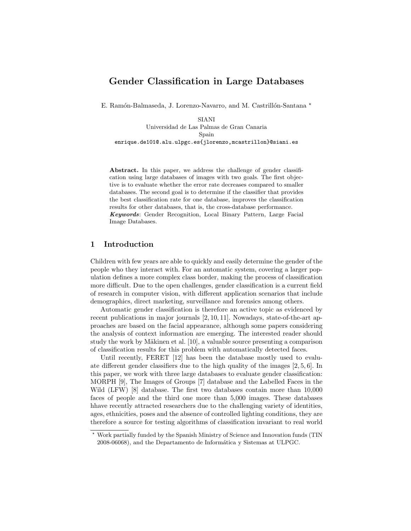# Gender Classification in Large Databases

E. Ramón-Balmaseda, J. Lorenzo-Navarro, and M. Castrillón-Santana \*

SIANI Universidad de Las Palmas de Gran Canaria Spain enrique.de101@.alu.ulpgc.es{jlorenzo,mcastrillon}@siani.es

Abstract. In this paper, we address the challenge of gender classification using large databases of images with two goals. The first objective is to evaluate whether the error rate decreases compared to smaller databases. The second goal is to determine if the classifier that provides the best classification rate for one database, improves the classification results for other databases, that is, the cross-database performance. Keywords: Gender Recognition, Local Binary Pattern, Large Facial Image Databases.

#### 1 Introduction

Children with few years are able to quickly and easily determine the gender of the people who they interact with. For an automatic system, covering a larger population defines a more complex class border, making the process of classification more difficult. Due to the open challenges, gender classification is a current field of research in computer vision, with different application scenarios that include demographics, direct marketing, surveillance and forensics among others.

Automatic gender classification is therefore an active topic as evidenced by recent publications in major journals [2, 10, 11]. Nowadays, state-of-the-art approaches are based on the facial appearance, although some papers considering the analysis of context information are emerging. The interested reader should study the work by Mäkinen et al. [10], a valuable source presenting a comparison of classification results for this problem with automatically detected faces.

Until recently, FERET [12] has been the database mostly used to evaluate different gender classifiers due to the high quality of the images [2, 5, 6]. In this paper, we work with three large databases to evaluate gender classification: MORPH [9], The Images of Groups [7] database and the Labelled Faces in the Wild (LFW) [8] database. The first two databases contain more than 10,000 faces of people and the third one more than 5,000 images. These databases hhave recently attracted researchers due to the challenging variety of identities, ages, ethnicities, poses and the absence of controlled lighting conditions, they are therefore a source for testing algorithms of classification invariant to real world

<sup>?</sup> Work partially funded by the Spanish Ministry of Science and Innovation funds (TIN 2008-06068), and the Departamento de Informática y Sistemas at ULPGC.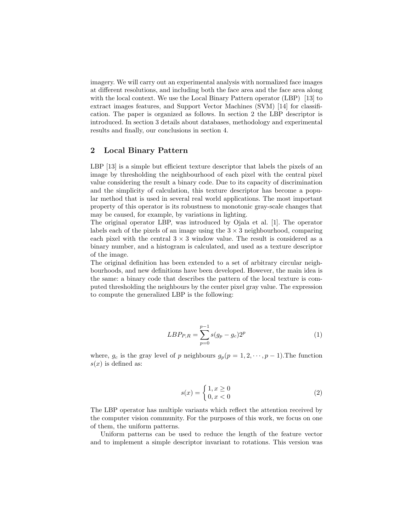imagery. We will carry out an experimental analysis with normalized face images at different resolutions, and including both the face area and the face area along with the local context. We use the Local Binary Pattern operator (LBP) [13] to extract images features, and Support Vector Machines (SVM) [14] for classification. The paper is organized as follows. In section 2 the LBP descriptor is introduced. In section 3 details about databases, methodology and experimental results and finally, our conclusions in section 4.

### 2 Local Binary Pattern

LBP [13] is a simple but efficient texture descriptor that labels the pixels of an image by thresholding the neighbourhood of each pixel with the central pixel value considering the result a binary code. Due to its capacity of discrimination and the simplicity of calculation, this texture descriptor has become a popular method that is used in several real world applications. The most important property of this operator is its robustness to monotonic gray-scale changes that may be caused, for example, by variations in lighting.

The original operator LBP, was introduced by Ojala et al. [1]. The operator labels each of the pixels of an image using the  $3 \times 3$  neighbourhood, comparing each pixel with the central  $3 \times 3$  window value. The result is considered as a binary number, and a histogram is calculated, and used as a texture descriptor of the image.

The original definition has been extended to a set of arbitrary circular neighbourhoods, and new definitions have been developed. However, the main idea is the same: a binary code that describes the pattern of the local texture is computed thresholding the neighbours by the center pixel gray value. The expression to compute the generalized LBP is the following:

$$
LBP_{P,R} = \sum_{p=0}^{p-1} s(g_p - g_c)2^p
$$
 (1)

where,  $g_c$  is the gray level of p neighbours  $g_p(p = 1, 2, \dots, p-1)$ . The function  $s(x)$  is defined as:

$$
s(x) = \begin{cases} 1, x \ge 0 \\ 0, x < 0 \end{cases} \tag{2}
$$

The LBP operator has multiple variants which reflect the attention received by the computer vision community. For the purposes of this work, we focus on one of them, the uniform patterns.

Uniform patterns can be used to reduce the length of the feature vector and to implement a simple descriptor invariant to rotations. This version was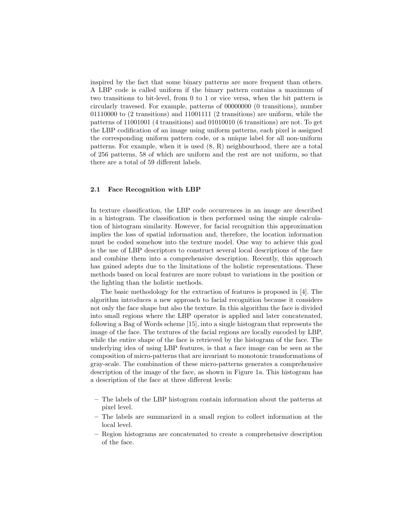inspired by the fact that some binary patterns are more frequent than others. A LBP code is called uniform if the binary pattern contains a maximum of two transitions to bit-level, from 0 to 1 or vice versa, when the bit pattern is circularly travesed. For example, patterns of 00000000 (0 transitions), number 01110000 to (2 transitions) and 11001111 (2 transitions) are uniform, while the patterns of 11001001 (4 transitions) and 01010010 (6 transitions) are not. To get the LBP codification of an image using uniform patterns, each pixel is assigned the corresponding uniform pattern code, or a unique label for all non-uniform patterns. For example, when it is used (8, R) neighbourhood, there are a total of 256 patterns, 58 of which are uniform and the rest are not uniform, so that there are a total of 59 different labels.

#### 2.1 Face Recognition with LBP

In texture classification, the LBP code occurrences in an image are described in a histogram. The classification is then performed using the simple calculation of histogram similarity. However, for facial recognition this approximation implies the loss of spatial information and, therefore, the location information must be coded somehow into the texture model. One way to achieve this goal is the use of LBP descriptors to construct several local descriptions of the face and combine them into a comprehensive description. Recently, this approach has gained adepts due to the limitations of the holistic representations. These methods based on local features are more robust to variations in the position or the lighting than the holistic methods.

The basic methodology for the extraction of features is proposed in [4]. The algorithm introduces a new approach to facial recognition because it considers not only the face shape but also the texture. In this algorithm the face is divided into small regions where the LBP operator is applied and later concatenated, following a Bag of Words scheme [15], into a single histogram that represents the image of the face. The textures of the facial regions are locally encoded by LBP, while the entire shape of the face is retrieved by the histogram of the face. The underlying idea of using LBP features, is that a face image can be seen as the composition of micro-patterns that are invariant to monotonic transformations of gray-scale. The combination of these micro-patterns generates a comprehensive description of the image of the face, as shown in Figure 1a. This histogram has a description of the face at three different levels:

- The labels of the LBP histogram contain information about the patterns at pixel level.
- The labels are summarized in a small region to collect information at the local level.
- Region histograms are concatenated to create a comprehensive description of the face.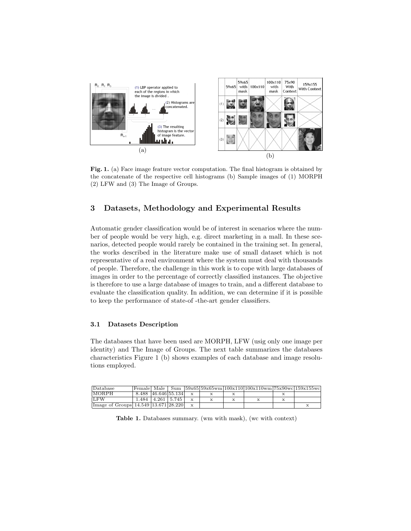

Fig. 1. (a) Face image feature vector computation. The final histogram is obtained by the concatenate of the respective cell histograms (b) Sample images of (1) MORPH (2) LFW and (3) The Image of Groups.

# 3 Datasets, Methodology and Experimental Results

Automatic gender classification would be of interest in scenarios where the number of people would be very high, e.g. direct marketing in a mall. In these scenarios, detected people would rarely be contained in the training set. In general, the works described in the literature make use of small dataset which is not representative of a real environment where the system must deal with thousands of people. Therefore, the challenge in this work is to cope with large databases of images in order to the percentage of correctly classified instances. The objective is therefore to use a large database of images to train, and a different database to evaluate the classification quality. In addition, we can determine if it is possible to keep the performance of state-of -the-art gender classifiers.

#### 3.1 Datasets Description

The databases that have been used are MORPH, LFW (usig only one image per identity) and The Image of Groups. The next table summarizes the databases characteristics Figure 1 (b) shows examples of each database and image resolutions employed.

| Database                                |  |                             |              |  | Female Male Sum $59x6559x65w$ m $100x110100x110w$ m $75x90wc159x155wc$ |  |
|-----------------------------------------|--|-----------------------------|--------------|--|------------------------------------------------------------------------|--|
| MORPH                                   |  | 8.488 46.646 55.134         | $\mathbf{x}$ |  |                                                                        |  |
| <b>LFW</b>                              |  | $1.484$   $4.261$   $5.745$ | $\mathbf{x}$ |  |                                                                        |  |
| Image of Groups 14.549 [13.671 [28.220] |  |                             |              |  |                                                                        |  |

Table 1. Databases summary. (wm with mask), (wc with context)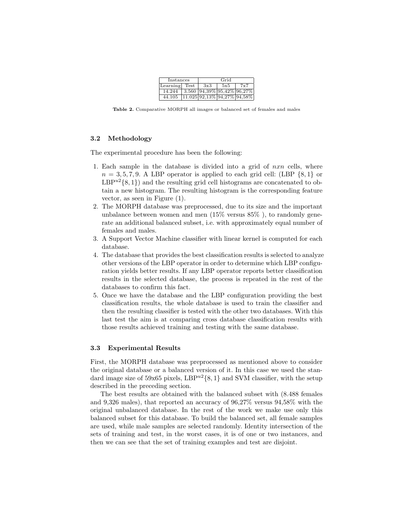| Instances     | Grid                              |     |     |  |  |  |
|---------------|-----------------------------------|-----|-----|--|--|--|
| Learning Test | 3x3                               | 5x5 | 7x7 |  |  |  |
| 14.244        | $3.560$ 94.39% 95.42% 96.27%      |     |     |  |  |  |
| 44.105        | $ 11.025 92.13\% 94.27\% 94.58\%$ |     |     |  |  |  |

Table 2. Comparative MORPH all images or balanced set of females and males

#### 3.2 Methodology

The experimental procedure has been the following:

- 1. Each sample in the database is divided into a grid of  $n x n$  cells, where  $n = 3, 5, 7, 9$ . A LBP operator is applied to each grid cell: (LBP  $\{8, 1\}$ ) or  $LBP^{u2}\{8, 1\}$  and the resulting grid cell histograms are concatenated to obtain a new histogram. The resulting histogram is the corresponding feature vector, as seen in Figure (1).
- 2. The MORPH database was preprocessed, due to its size and the important unbalance between women and men  $(15\% \text{ versus } 85\%)$ , to randomly generate an additional balanced subset, i.e. with approximately equal number of females and males.
- 3. A Support Vector Machine classifier with linear kernel is computed for each database.
- 4. The database that provides the best classification results is selected to analyze other versions of the LBP operator in order to determine which LBP configuration yields better results. If any LBP operator reports better classification results in the selected database, the process is repeated in the rest of the databases to confirm this fact.
- 5. Once we have the database and the LBP configuration providing the best classification results, the whole database is used to train the classifier and then the resulting classifier is tested with the other two databases. With this last test the aim is at comparing cross database classification results with those results achieved training and testing with the same database.

#### 3.3 Experimental Results

First, the MORPH database was preprocessed as mentioned above to consider the original database or a balanced version of it. In this case we used the standard image size of 59x65 pixels, LBP<sup>u2</sup>{8,1} and SVM classifier, with the setup described in the preceding section.

The best results are obtained with the balanced subset with (8.488 females and 9,326 males), that reported an accuracy of 96,27% versus 94,58% with the original unbalanced database. In the rest of the work we make use only this balanced subset for this database. To build the balanced set, all female samples are used, while male samples are selected randomly. Identity intersection of the sets of training and test, in the worst cases, it is of one or two instances, and then we can see that the set of training examples and test are disjoint.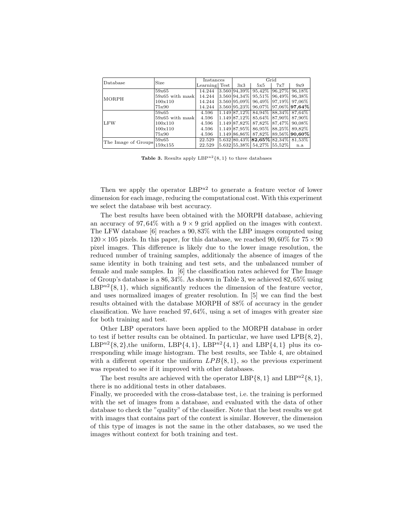| Database            | Size              | Instances                                                                                                                                                                                                                                                                                                                                                                                                                                                                                                                             |     | Grid |     |            |     |  |
|---------------------|-------------------|---------------------------------------------------------------------------------------------------------------------------------------------------------------------------------------------------------------------------------------------------------------------------------------------------------------------------------------------------------------------------------------------------------------------------------------------------------------------------------------------------------------------------------------|-----|------|-----|------------|-----|--|
|                     |                   |                                                                                                                                                                                                                                                                                                                                                                                                                                                                                                                                       |     | 3x3  | 5x5 | $7\times7$ | 9x9 |  |
|                     | 59x65             | 14.244                                                                                                                                                                                                                                                                                                                                                                                                                                                                                                                                |     |      |     |            |     |  |
| MORPH               | $59x65$ with mask | 14.244                                                                                                                                                                                                                                                                                                                                                                                                                                                                                                                                |     |      |     |            |     |  |
|                     | 100x110           | 14.244                                                                                                                                                                                                                                                                                                                                                                                                                                                                                                                                |     |      |     |            |     |  |
|                     | 75x90             | 14.244                                                                                                                                                                                                                                                                                                                                                                                                                                                                                                                                |     |      |     |            |     |  |
|                     | 59x65             | 4.596                                                                                                                                                                                                                                                                                                                                                                                                                                                                                                                                 |     |      |     |            |     |  |
|                     | $59x65$ with mask | 4.596                                                                                                                                                                                                                                                                                                                                                                                                                                                                                                                                 |     |      |     |            |     |  |
| <b>LFW</b>          | 100x110           | 4.596                                                                                                                                                                                                                                                                                                                                                                                                                                                                                                                                 |     |      |     |            |     |  |
|                     | 100x110           | 4.596                                                                                                                                                                                                                                                                                                                                                                                                                                                                                                                                 |     |      |     |            |     |  |
|                     | 75x90             | 4.596                                                                                                                                                                                                                                                                                                                                                                                                                                                                                                                                 |     |      |     |            |     |  |
| The Image of Groups | 59x65             | 22.529                                                                                                                                                                                                                                                                                                                                                                                                                                                                                                                                |     |      |     |            |     |  |
|                     | 159x155           | Learning Test<br>$\left 3.560\right 94.39\%$ 95.42\% 96.27\% 96.18\%<br>$ 3.560 94.34\% 95.51\% 96.49\% 96.38\%$<br>$ 3.560 95.09\% $ 96.49% $ 97.19\% $ 97.06%<br>$ 3.560 95.23\% 96.07\% 97.06\% $ <b>97,64%</b><br>$(1.14987, 12\%$ 84.94% 88.34% 87.64%<br>$ 1.149 87.12\% 85.64\% 87.90\% 87.90\%$<br>$ 1.149 87.82\% 87.82\% 87.47\% 90.08\%$<br>$ 1.149 87.95\% 86.95\% 88.25\% 89.82\%$<br>$ 1.149 86.86\% 87.82\% 89.56\% 90.60\%$<br>$5.632 80.43\% 82.65\% 82.34\% 81.53\%$<br>$ 5.632 55.38\% 54.27\% 55.52\% $<br>22.529 | n.a |      |     |            |     |  |

Table 3. Results apply  $\text{LBP}^{u2}\{8, 1\}$  to three databases

Then we apply the operator  $LBP^{u2}$  to generate a feature vector of lower dimension for each image, reducing the computational cost. With this experiment we select the database wih best accuracy.

The best results have been obtained with the MORPH database, achieving an accuracy of 97,64% with a  $9 \times 9$  grid applied on the images with context. The LFW database [6] reaches a 90, 83% with the LBP images computed using  $120 \times 105$  pixels. In this paper, for this database, we reached 90,60% for  $75 \times 90$ pixel images. This difference is likely due to the lower image resolution, the reduced number of training samples, additionaly the absence of images of the same identity in both training and test sets, and the unbalanced number of female and male samples. In [6] the classification rates achieved for The Image of Group's database is a 86, 34%. As shown in Table 3, we achieved 82, 65% using  $LBP^{u2}{8,1}$ , which significantly reduces the dimension of the feature vector, and uses normalized images of greater resolution. In [5] we can find the best results obtained with the database MORPH of 88% of accuracy in the gender classification. We have reached 97, 64%, using a set of images with greater size for both training and test.

Other LBP operators have been applied to the MORPH database in order to test if better results can be obtained. In particular, we have used  $LPB{8,2}$ , LBP<sup>u2</sup>{8, 2},the uniform, LBP{4, 1}, LBP<sup>u2</sup>{4, 1} and LBP{4, 1} plus its corresponding while image histogram. The best results, see Table 4, are obtained with a different operator the uniform  $LPB{8,1}$ , so the previous experiment was repeated to see if it improved with other databases.

The best results are achieved with the operator LBP{8, 1} and LBP<sup>u2</sup>{8, 1}, there is no additional tests in other databases.

Finally, we proceeded with the cross-database test, i.e. the training is performed with the set of images from a database, and evaluated with the data of other database to check the "quality" of the classifier. Note that the best results we got with images that contains part of the context is similar. However, the dimension of this type of images is not the same in the other databases, so we used the images without context for both training and test.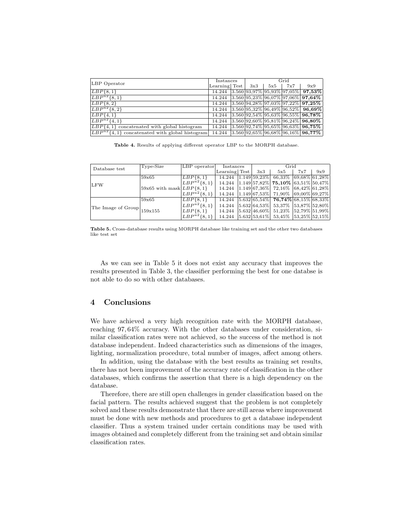| LBP Operator                                       | Instances                              |  | Grid |  |  |                                                          |
|----------------------------------------------------|----------------------------------------|--|------|--|--|----------------------------------------------------------|
|                                                    | Learning  Test   $3x3$   $5x5$   $7x7$ |  |      |  |  | 9x9                                                      |
| $LBP{8,1}$                                         |                                        |  |      |  |  | $14.244$   3.560   93,97%   95,93%   97,05%   97,53%     |
| $LBP^{u2}{8,1}$                                    |                                        |  |      |  |  | $14.244$   3.560   95, 23%   96, 07%   97, 06%   97, 64% |
| $LBP{8,2}$                                         |                                        |  |      |  |  | $14.244$   3.560   94, 28%   97, 03%   97, 22%   97, 25% |
| $LBP^{u2}{8,2}$                                    |                                        |  |      |  |  | $14.244$   3.560   95,32%   96,49%   96,52%   96,69%     |
| $\overline{LBP}\{4,1\}$                            |                                        |  |      |  |  | $14.244$   3.560   92,54%   95,63%   96,55%   96,78%     |
| $LBP^{u2}{4,1}$                                    | 14.244                                 |  |      |  |  | $3.560 92.60\% 95.81\% 96.24\% $ 96.80%                  |
| $LBP{4,1}$ concatenated with global histogram      |                                        |  |      |  |  | $14.244$   3.560   92, 74%   95, 65%   96, 63%   96, 75% |
| $LBP^{u2}{4,1}$ concatenated with global histogram |                                        |  |      |  |  | $14.244$ 3.560 92,65% 96,68% 96,16% 96,77%               |

Table 4. Results of applying different operator LBP to the MORPH database.

| Database test                        | Type-Size                       | LBP operator    | Instances     |  | Grid |                                                                                                 |     |     |  |
|--------------------------------------|---------------------------------|-----------------|---------------|--|------|-------------------------------------------------------------------------------------------------|-----|-----|--|
|                                      |                                 |                 | Learning Test |  | 3x3  | 5x5                                                                                             | 7x7 | 9x9 |  |
|                                      | 59x65                           | $LBP\{8,1\}$    |               |  |      | $14.244$   1.149   59, 23%   66, 33%   69, 68%   61, 28%                                        |     |     |  |
| <b>LFW</b>                           |                                 | $LBP^{u2}{8,1}$ |               |  |      | $14.244$  1.149 57,82%   75,10%   63,51%   50,47%                                               |     |     |  |
|                                      | $ 59x65$ with mask $LBP\{8,1\}$ |                 |               |  |      | 14.244 1.149 67,36% 72,16% 68,42% 61,28%                                                        |     |     |  |
|                                      |                                 | $LBP^{u2}{8,1}$ |               |  |      | 14.244 1.149 67,53% 71,90% 69,00% 69,27%                                                        |     |     |  |
| The Image of Group $\vert_{159x155}$ | 59x65                           | $LBP\{8,1\}$    |               |  |      | $14.244$   5.632 65,54%   76,74% 68,15% 68,33%                                                  |     |     |  |
|                                      |                                 | $LBP^{u2}{8,1}$ | 14.244        |  |      | $\left 5.632\right 64.53\%$ 53.37\% 53.87\% 52.80\% 53.632 \\ \end{bmatric 0.53.87\% 52.80\% by |     |     |  |
|                                      |                                 | $LBP{8,1}$      | 14.244        |  |      | $ 5.632 46.60\% $ 51,23\% $ 52.79\% 51.99\% $                                                   |     |     |  |
|                                      |                                 | $LBP^{u2}{8,1}$ |               |  |      | $14.244$   $5.632$   $53,61\%$   $53,45\%$   $53,25\%$   $52,15\%$                              |     |     |  |

Table 5. Cross-database results using MORPH database like training set and the other two databases like test set

As we can see in Table 5 it does not exist any accuracy that improves the results presented in Table 3, the classifier performing the best for one databse is not able to do so with other databases.

# 4 Conclusions

We have achieved a very high recognition rate with the MORPH database, reaching 97, 64% accuracy. With the other databases under consideration, similar classification rates were not achieved, so the success of the method is not database independent. Indeed characteristics such as dimensions of the images, lighting, normalization procedure, total number of images, affect among others.

In addition, using the database with the best results as training set results, there has not been improvement of the accuracy rate of classification in the other databases, which confirms the assertion that there is a high dependency on the database.

Therefore, there are still open challenges in gender classification based on the facial pattern. The results achieved suggest that the problem is not completely solved and these results demonstrate that there are still areas where improvement must be done with new methods and procedures to get a database independent classifier. Thus a system trained under certain conditions may be used with images obtained and completely different from the training set and obtain similar classification rates.